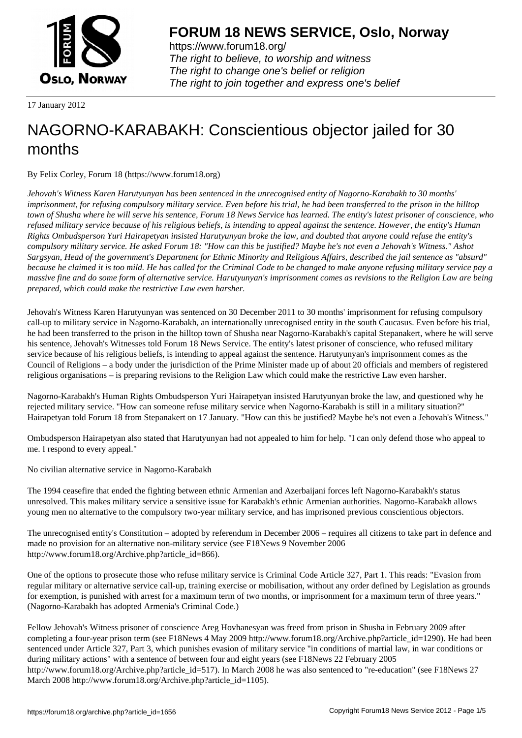

https://www.forum18.org/ The right to believe, to worship and witness The right to change one's belief or religion [The right to join together a](https://www.forum18.org/)nd express one's belief

17 January 2012

# [NAGORNO-KA](https://www.forum18.org)RABAKH: Conscientious objector jailed for 30 months

By Felix Corley, Forum 18 (https://www.forum18.org)

*Jehovah's Witness Karen Harutyunyan has been sentenced in the unrecognised entity of Nagorno-Karabakh to 30 months' imprisonment, for refusing compulsory military service. Even before his trial, he had been transferred to the prison in the hilltop town of Shusha where he will serve his sentence, Forum 18 News Service has learned. The entity's latest prisoner of conscience, who refused military service because of his religious beliefs, is intending to appeal against the sentence. However, the entity's Human Rights Ombudsperson Yuri Hairapetyan insisted Harutyunyan broke the law, and doubted that anyone could refuse the entity's compulsory military service. He asked Forum 18: "How can this be justified? Maybe he's not even a Jehovah's Witness." Ashot Sargsyan, Head of the government's Department for Ethnic Minority and Religious Affairs, described the jail sentence as "absurd" because he claimed it is too mild. He has called for the Criminal Code to be changed to make anyone refusing military service pay a massive fine and do some form of alternative service. Harutyunyan's imprisonment comes as revisions to the Religion Law are being prepared, which could make the restrictive Law even harsher.*

Jehovah's Witness Karen Harutyunyan was sentenced on 30 December 2011 to 30 months' imprisonment for refusing compulsory call-up to military service in Nagorno-Karabakh, an internationally unrecognised entity in the south Caucasus. Even before his trial, he had been transferred to the prison in the hilltop town of Shusha near Nagorno-Karabakh's capital Stepanakert, where he will serve his sentence, Jehovah's Witnesses told Forum 18 News Service. The entity's latest prisoner of conscience, who refused military service because of his religious beliefs, is intending to appeal against the sentence. Harutyunyan's imprisonment comes as the Council of Religions – a body under the jurisdiction of the Prime Minister made up of about 20 officials and members of registered religious organisations – is preparing revisions to the Religion Law which could make the restrictive Law even harsher.

Nagorno-Karabakh's Human Rights Ombudsperson Yuri Hairapetyan insisted Harutyunyan broke the law, and questioned why he rejected military service. "How can someone refuse military service when Nagorno-Karabakh is still in a military situation?" Hairapetyan told Forum 18 from Stepanakert on 17 January. "How can this be justified? Maybe he's not even a Jehovah's Witness."

Ombudsperson Hairapetyan also stated that Harutyunyan had not appealed to him for help. "I can only defend those who appeal to me. I respond to every appeal."

No civilian alternative service in Nagorno-Karabakh

The 1994 ceasefire that ended the fighting between ethnic Armenian and Azerbaijani forces left Nagorno-Karabakh's status unresolved. This makes military service a sensitive issue for Karabakh's ethnic Armenian authorities. Nagorno-Karabakh allows young men no alternative to the compulsory two-year military service, and has imprisoned previous conscientious objectors.

The unrecognised entity's Constitution – adopted by referendum in December 2006 – requires all citizens to take part in defence and made no provision for an alternative non-military service (see F18News 9 November 2006 http://www.forum18.org/Archive.php?article\_id=866).

One of the options to prosecute those who refuse military service is Criminal Code Article 327, Part 1. This reads: "Evasion from regular military or alternative service call-up, training exercise or mobilisation, without any order defined by Legislation as grounds for exemption, is punished with arrest for a maximum term of two months, or imprisonment for a maximum term of three years." (Nagorno-Karabakh has adopted Armenia's Criminal Code.)

Fellow Jehovah's Witness prisoner of conscience Areg Hovhanesyan was freed from prison in Shusha in February 2009 after completing a four-year prison term (see F18News 4 May 2009 http://www.forum18.org/Archive.php?article\_id=1290). He had been sentenced under Article 327, Part 3, which punishes evasion of military service "in conditions of martial law, in war conditions or during military actions" with a sentence of between four and eight years (see F18News 22 February 2005 http://www.forum18.org/Archive.php?article\_id=517). In March 2008 he was also sentenced to "re-education" (see F18News 27 March 2008 http://www.forum18.org/Archive.php?article\_id=1105).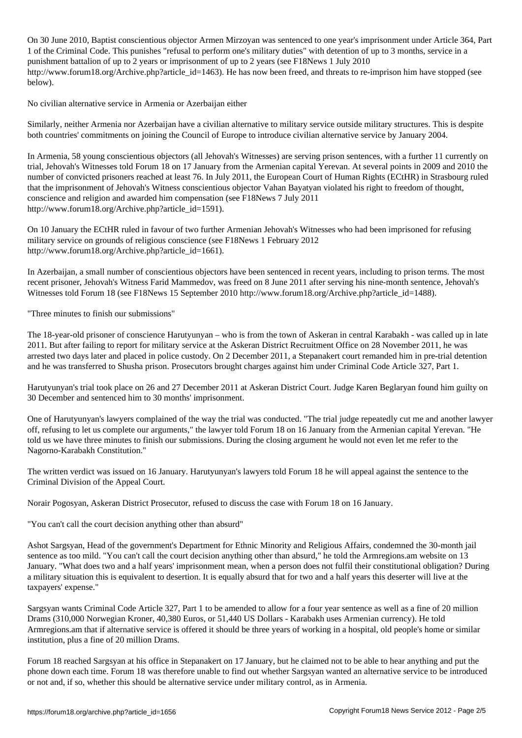$\overline{\phantom{a}}$  , and are not year armor Mirzoyan was sentenced to one year's imprisonment under Article 364, Particle 364, Particle 364, Particle 364, Particle 364, Particle 364, Particle 364, Particle 364, Particle 364, Par 1 of the Criminal Code. This punishes "refusal to perform one's military duties" with detention of up to 3 months, service in a punishment battalion of up to 2 years or imprisonment of up to 2 years (see F18News 1 July 2010 http://www.forum18.org/Archive.php?article\_id=1463). He has now been freed, and threats to re-imprison him have stopped (see below).

No civilian alternative service in Armenia or Azerbaijan either

Similarly, neither Armenia nor Azerbaijan have a civilian alternative to military service outside military structures. This is despite both countries' commitments on joining the Council of Europe to introduce civilian alternative service by January 2004.

In Armenia, 58 young conscientious objectors (all Jehovah's Witnesses) are serving prison sentences, with a further 11 currently on trial, Jehovah's Witnesses told Forum 18 on 17 January from the Armenian capital Yerevan. At several points in 2009 and 2010 the number of convicted prisoners reached at least 76. In July 2011, the European Court of Human Rights (ECtHR) in Strasbourg ruled that the imprisonment of Jehovah's Witness conscientious objector Vahan Bayatyan violated his right to freedom of thought, conscience and religion and awarded him compensation (see F18News 7 July 2011 http://www.forum18.org/Archive.php?article\_id=1591).

On 10 January the ECtHR ruled in favour of two further Armenian Jehovah's Witnesses who had been imprisoned for refusing military service on grounds of religious conscience (see F18News 1 February 2012 http://www.forum18.org/Archive.php?article\_id=1661).

In Azerbaijan, a small number of conscientious objectors have been sentenced in recent years, including to prison terms. The most recent prisoner, Jehovah's Witness Farid Mammedov, was freed on 8 June 2011 after serving his nine-month sentence, Jehovah's Witnesses told Forum 18 (see F18News 15 September 2010 http://www.forum18.org/Archive.php?article\_id=1488).

"Three minutes to finish our submissions"

The 18-year-old prisoner of conscience Harutyunyan – who is from the town of Askeran in central Karabakh - was called up in late 2011. But after failing to report for military service at the Askeran District Recruitment Office on 28 November 2011, he was arrested two days later and placed in police custody. On 2 December 2011, a Stepanakert court remanded him in pre-trial detention and he was transferred to Shusha prison. Prosecutors brought charges against him under Criminal Code Article 327, Part 1.

Harutyunyan's trial took place on 26 and 27 December 2011 at Askeran District Court. Judge Karen Beglaryan found him guilty on 30 December and sentenced him to 30 months' imprisonment.

One of Harutyunyan's lawyers complained of the way the trial was conducted. "The trial judge repeatedly cut me and another lawyer off, refusing to let us complete our arguments," the lawyer told Forum 18 on 16 January from the Armenian capital Yerevan. "He told us we have three minutes to finish our submissions. During the closing argument he would not even let me refer to the Nagorno-Karabakh Constitution."

The written verdict was issued on 16 January. Harutyunyan's lawyers told Forum 18 he will appeal against the sentence to the Criminal Division of the Appeal Court.

Norair Pogosyan, Askeran District Prosecutor, refused to discuss the case with Forum 18 on 16 January.

"You can't call the court decision anything other than absurd"

Ashot Sargsyan, Head of the government's Department for Ethnic Minority and Religious Affairs, condemned the 30-month jail sentence as too mild. "You can't call the court decision anything other than absurd," he told the Armregions.am website on 13 January. "What does two and a half years' imprisonment mean, when a person does not fulfil their constitutional obligation? During a military situation this is equivalent to desertion. It is equally absurd that for two and a half years this deserter will live at the taxpayers' expense."

Sargsyan wants Criminal Code Article 327, Part 1 to be amended to allow for a four year sentence as well as a fine of 20 million Drams (310,000 Norwegian Kroner, 40,380 Euros, or 51,440 US Dollars - Karabakh uses Armenian currency). He told Armregions.am that if alternative service is offered it should be three years of working in a hospital, old people's home or similar institution, plus a fine of 20 million Drams.

Forum 18 reached Sargsyan at his office in Stepanakert on 17 January, but he claimed not to be able to hear anything and put the phone down each time. Forum 18 was therefore unable to find out whether Sargsyan wanted an alternative service to be introduced or not and, if so, whether this should be alternative service under military control, as in Armenia.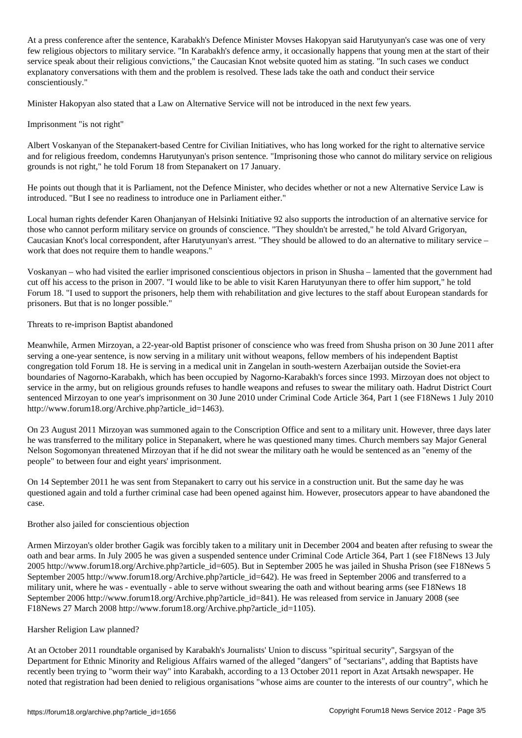At a press conference after the sentence, Karabakh's Defence Minister Movses Hakopyan said Harutyunyan's case was one of very few religious objectors to military service. "In Karabakh's defence army, it occasionally happens that young men at the start of their service speak about their religious convictions," the Caucasian Knot website quoted him as stating. "In such cases we conduct explanatory conversations with them and the problem is resolved. These lads take the oath and conduct their service conscientiously."

Minister Hakopyan also stated that a Law on Alternative Service will not be introduced in the next few years.

## Imprisonment "is not right"

Albert Voskanyan of the Stepanakert-based Centre for Civilian Initiatives, who has long worked for the right to alternative service and for religious freedom, condemns Harutyunyan's prison sentence. "Imprisoning those who cannot do military service on religious grounds is not right," he told Forum 18 from Stepanakert on 17 January.

He points out though that it is Parliament, not the Defence Minister, who decides whether or not a new Alternative Service Law is introduced. "But I see no readiness to introduce one in Parliament either."

Local human rights defender Karen Ohanjanyan of Helsinki Initiative 92 also supports the introduction of an alternative service for those who cannot perform military service on grounds of conscience. "They shouldn't be arrested," he told Alvard Grigoryan, Caucasian Knot's local correspondent, after Harutyunyan's arrest. "They should be allowed to do an alternative to military service – work that does not require them to handle weapons."

Voskanyan – who had visited the earlier imprisoned conscientious objectors in prison in Shusha – lamented that the government had cut off his access to the prison in 2007. "I would like to be able to visit Karen Harutyunyan there to offer him support," he told Forum 18. "I used to support the prisoners, help them with rehabilitation and give lectures to the staff about European standards for prisoners. But that is no longer possible."

### Threats to re-imprison Baptist abandoned

Meanwhile, Armen Mirzoyan, a 22-year-old Baptist prisoner of conscience who was freed from Shusha prison on 30 June 2011 after serving a one-year sentence, is now serving in a military unit without weapons, fellow members of his independent Baptist congregation told Forum 18. He is serving in a medical unit in Zangelan in south-western Azerbaijan outside the Soviet-era boundaries of Nagorno-Karabakh, which has been occupied by Nagorno-Karabakh's forces since 1993. Mirzoyan does not object to service in the army, but on religious grounds refuses to handle weapons and refuses to swear the military oath. Hadrut District Court sentenced Mirzoyan to one year's imprisonment on 30 June 2010 under Criminal Code Article 364, Part 1 (see F18News 1 July 2010 http://www.forum18.org/Archive.php?article\_id=1463).

On 23 August 2011 Mirzoyan was summoned again to the Conscription Office and sent to a military unit. However, three days later he was transferred to the military police in Stepanakert, where he was questioned many times. Church members say Major General Nelson Sogomonyan threatened Mirzoyan that if he did not swear the military oath he would be sentenced as an "enemy of the people" to between four and eight years' imprisonment.

On 14 September 2011 he was sent from Stepanakert to carry out his service in a construction unit. But the same day he was questioned again and told a further criminal case had been opened against him. However, prosecutors appear to have abandoned the case.

### Brother also jailed for conscientious objection

Armen Mirzoyan's older brother Gagik was forcibly taken to a military unit in December 2004 and beaten after refusing to swear the oath and bear arms. In July 2005 he was given a suspended sentence under Criminal Code Article 364, Part 1 (see F18News 13 July 2005 http://www.forum18.org/Archive.php?article\_id=605). But in September 2005 he was jailed in Shusha Prison (see F18News 5 September 2005 http://www.forum18.org/Archive.php?article\_id=642). He was freed in September 2006 and transferred to a military unit, where he was - eventually - able to serve without swearing the oath and without bearing arms (see F18News 18 September 2006 http://www.forum18.org/Archive.php?article\_id=841). He was released from service in January 2008 (see F18News 27 March 2008 http://www.forum18.org/Archive.php?article\_id=1105).

### Harsher Religion Law planned?

At an October 2011 roundtable organised by Karabakh's Journalists' Union to discuss "spiritual security", Sargsyan of the Department for Ethnic Minority and Religious Affairs warned of the alleged "dangers" of "sectarians", adding that Baptists have recently been trying to "worm their way" into Karabakh, according to a 13 October 2011 report in Azat Artsakh newspaper. He noted that registration had been denied to religious organisations "whose aims are counter to the interests of our country", which he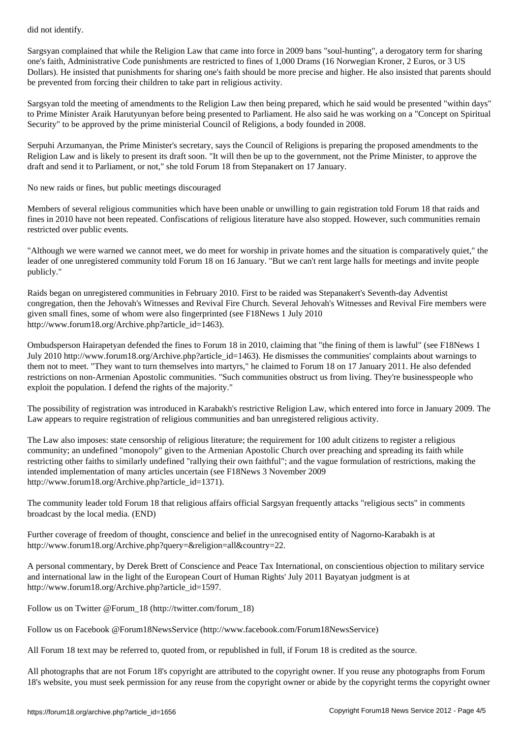Sargsyan complained that while the Religion Law that came into force in 2009 bans "soul-hunting", a derogatory term for sharing one's faith, Administrative Code punishments are restricted to fines of 1,000 Drams (16 Norwegian Kroner, 2 Euros, or 3 US Dollars). He insisted that punishments for sharing one's faith should be more precise and higher. He also insisted that parents should be prevented from forcing their children to take part in religious activity.

Sargsyan told the meeting of amendments to the Religion Law then being prepared, which he said would be presented "within days" to Prime Minister Araik Harutyunyan before being presented to Parliament. He also said he was working on a "Concept on Spiritual Security" to be approved by the prime ministerial Council of Religions, a body founded in 2008.

Serpuhi Arzumanyan, the Prime Minister's secretary, says the Council of Religions is preparing the proposed amendments to the Religion Law and is likely to present its draft soon. "It will then be up to the government, not the Prime Minister, to approve the draft and send it to Parliament, or not," she told Forum 18 from Stepanakert on 17 January.

No new raids or fines, but public meetings discouraged

Members of several religious communities which have been unable or unwilling to gain registration told Forum 18 that raids and fines in 2010 have not been repeated. Confiscations of religious literature have also stopped. However, such communities remain restricted over public events.

"Although we were warned we cannot meet, we do meet for worship in private homes and the situation is comparatively quiet," the leader of one unregistered community told Forum 18 on 16 January. "But we can't rent large halls for meetings and invite people publicly."

Raids began on unregistered communities in February 2010. First to be raided was Stepanakert's Seventh-day Adventist congregation, then the Jehovah's Witnesses and Revival Fire Church. Several Jehovah's Witnesses and Revival Fire members were given small fines, some of whom were also fingerprinted (see F18News 1 July 2010 http://www.forum18.org/Archive.php?article\_id=1463).

Ombudsperson Hairapetyan defended the fines to Forum 18 in 2010, claiming that "the fining of them is lawful" (see F18News 1 July 2010 http://www.forum18.org/Archive.php?article\_id=1463). He dismisses the communities' complaints about warnings to them not to meet. "They want to turn themselves into martyrs," he claimed to Forum 18 on 17 January 2011. He also defended restrictions on non-Armenian Apostolic communities. "Such communities obstruct us from living. They're businesspeople who exploit the population. I defend the rights of the majority."

The possibility of registration was introduced in Karabakh's restrictive Religion Law, which entered into force in January 2009. The Law appears to require registration of religious communities and ban unregistered religious activity.

The Law also imposes: state censorship of religious literature; the requirement for 100 adult citizens to register a religious community; an undefined "monopoly" given to the Armenian Apostolic Church over preaching and spreading its faith while restricting other faiths to similarly undefined "rallying their own faithful"; and the vague formulation of restrictions, making the intended implementation of many articles uncertain (see F18News 3 November 2009 http://www.forum18.org/Archive.php?article\_id=1371).

The community leader told Forum 18 that religious affairs official Sargsyan frequently attacks "religious sects" in comments broadcast by the local media. (END)

Further coverage of freedom of thought, conscience and belief in the unrecognised entity of Nagorno-Karabakh is at http://www.forum18.org/Archive.php?query=&religion=all&country=22.

A personal commentary, by Derek Brett of Conscience and Peace Tax International, on conscientious objection to military service and international law in the light of the European Court of Human Rights' July 2011 Bayatyan judgment is at http://www.forum18.org/Archive.php?article\_id=1597.

Follow us on Twitter @Forum\_18 (http://twitter.com/forum\_18)

Follow us on Facebook @Forum18NewsService (http://www.facebook.com/Forum18NewsService)

All Forum 18 text may be referred to, quoted from, or republished in full, if Forum 18 is credited as the source.

All photographs that are not Forum 18's copyright are attributed to the copyright owner. If you reuse any photographs from Forum 18's website, you must seek permission for any reuse from the copyright owner or abide by the copyright terms the copyright owner